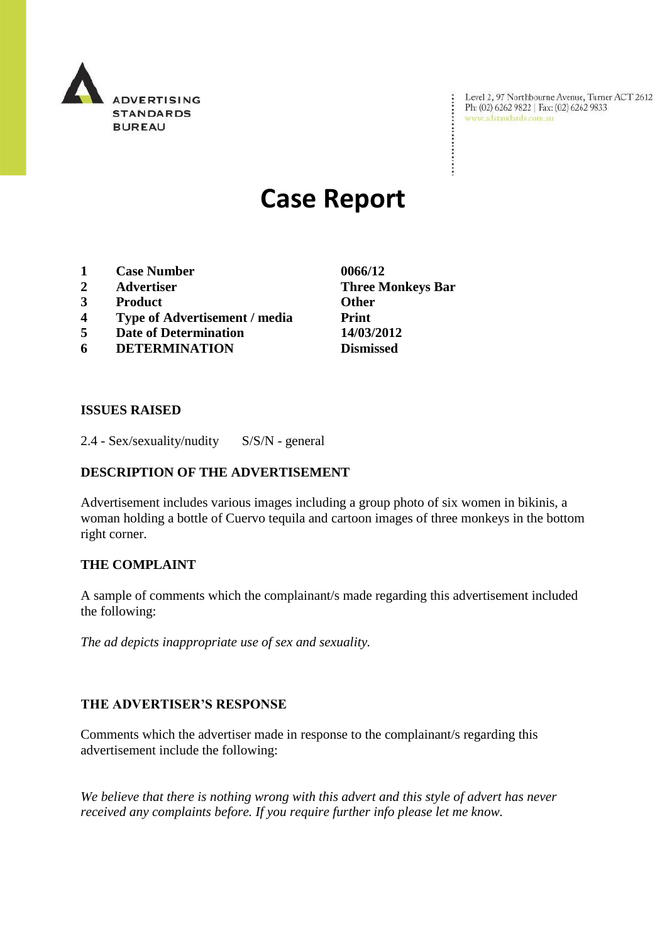

Level 2, 97 Northbourne Avenue, Turner ACT 2612<br>Ph: (02) 6262 9822 | Fax: (02) 6262 9833<br>www.adstandards.com.au

# **Case Report**

- **1 Case Number 0066/12**
- 
- **3 Product Other**
- **4 Type of Advertisement / media Print**
- **5 Date of Determination 14/03/2012**
- **6 DETERMINATION Dismissed**

**2 Advertiser Three Monkeys Bar**

÷

#### **ISSUES RAISED**

2.4 - Sex/sexuality/nudity S/S/N - general

### **DESCRIPTION OF THE ADVERTISEMENT**

Advertisement includes various images including a group photo of six women in bikinis, a woman holding a bottle of Cuervo tequila and cartoon images of three monkeys in the bottom right corner.

#### **THE COMPLAINT**

A sample of comments which the complainant/s made regarding this advertisement included the following:

*The ad depicts inappropriate use of sex and sexuality.* 

#### **THE ADVERTISER'S RESPONSE**

Comments which the advertiser made in response to the complainant/s regarding this advertisement include the following:

*We believe that there is nothing wrong with this advert and this style of advert has never received any complaints before. If you require further info please let me know.*